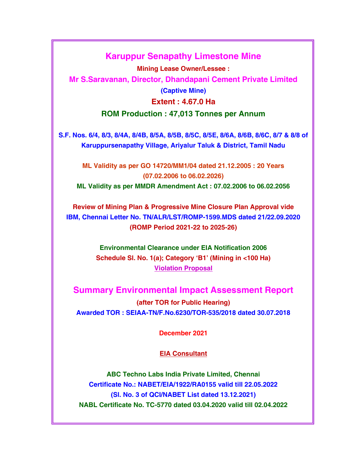# Karuppur Senapathy Limestone Mine

Mining Lease Owner/Lessee : Mr S.Saravanan, Director, Dhandapani Cement Private Limited (Captive Mine) Extent : 4.67.0 Ha ROM Production : 47,013 Tonnes per Annum

S.F. Nos. 6/4, 8/3, 8/4A, 8/4B, 8/5A, 8/5B, 8/5C, 8/5E, 8/6A, 8/6B, 8/6C, 8/7 & 8/8 of Karuppursenapathy Village, Ariyalur Taluk & District, Tamil Nadu

ML Validity as per GO 14720/MM1/04 dated 21.12.2005 : 20 Years (07.02.2006 to 06.02.2026)

ML Validity as per MMDR Amendment Act : 07.02.2006 to 06.02.2056

Review of Mining Plan & Progressive Mine Closure Plan Approval vide IBM, Chennai Letter No. TN/ALR/LST/ROMP-1599.MDS dated 21/22.09.2020 (ROMP Period 2021-22 to 2025-26)

> Environmental Clearance under EIA Notification 2006 Schedule Sl. No. 1(a); Category 'B1' (Mining in <100 Ha) Violation Proposal

Summary Environmental Impact Assessment Report (after TOR for Public Hearing) Awarded TOR : SEIAA-TN/F.No.6230/TOR-535/2018 dated 30.07.2018

December 2021

EIA Consultant

ABC Techno Labs India Private Limited, Chennai Certificate No.: NABET/EIA/1922/RA0155 valid till 22.05.2022 (Sl. No. 3 of QCI/NABET List dated 13.12.2021) NABL Certificate No. TC-5770 dated 03.04.2020 valid till 02.04.2022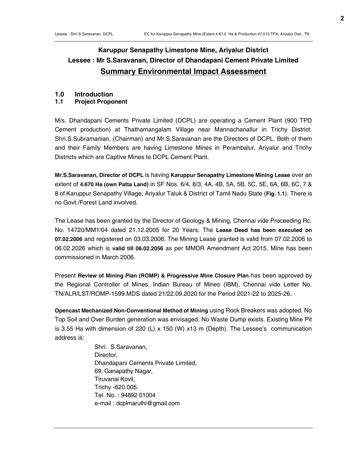# **2**

# Karuppur Senapathy Limestone Mine, Ariyalur District Lessee : Mr S.Saravanan, Director of Dhandapani Cement Private Limited Summary Environmental Impact Assessment

# 1.0 Introduction

# 1.1 Project Proponent

M/s. Dhandapani Cements Private Limited (DCPL) are operating a Cement Plant (900 TPD Cement production) at Thathamangalam Village near Mannachanallur in Trichy District. Shri.S.Subramanian, (Chairman) and Mr.S.Saravanan are the Directors of DCPL. Both of them and their Family Members are having Limestone Mines in Perambalur, Ariyalur and Trichy Districts which are Captive Mines to DCPL Cement Plant.

Mr.S.Saravanan, Director of DCPL is having Karuppur Senapathy Limestone Mining Lease over an extent of 4.670 Ha (own Patta Land) in SF Nos. 6/4, 8/3, 4A, 4B, 5A, 5B, 5C, 5E, 6A, 6B, 6C, 7 & 8 of Karuppur Senapathy Village, Ariyalur Taluk & District of Tamil Nadu State (Fig. 1.1). There is no Govt./Forest Land involved.

The Lease has been granted by the Director of Geology & Mining, Chennai vide Proceeding Rc. No. 14720/MM1/04 dated 21.12.2005 for 20 Years. The Lease Deed has been executed on 07.02.2006 and registered on 03.03.2006. The Mining Lease granted is valid from 07.02.2006 to 06.02.2026 which is valid till 06.02.2056 as per MMDR Amendment Act 2015. Mine has been commissioned in March 2006.

Present Review of Mining Plan (ROMP) & Progressive Mine Closure Plan has been approved by the Regional Controller of Mines, Indian Bureau of Mines (IBM), Chennai vide Letter No. TN/ALR/LST/ROMP-1599.MDS dated 21/22.09.2020 for the Period 2021-22 to 2025-26.

Opencast Mechanized Non-Conventional Method of Mining using Rock Breakers was adopted. No Top Soil and Over Burden generation was envisaged. No Waste Dump exists. Existing Mine Pit is 3.55 Ha with dimension of 220 (L)  $\times$  150 (W)  $\times$ 13 m (Depth). The Lessee's communication address is:

> Shri. S.Saravanan, Director, Dhandapani Cements Private Limited, 69, Ganapathy Nagar, Tiruvanai Kovil, Trichy -620 005. Tel. No. : 94892 01004 e-mail : dcplmaruthi@gmail.com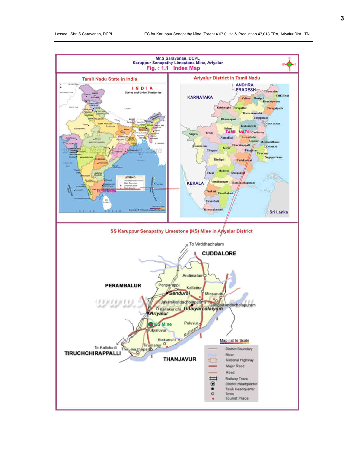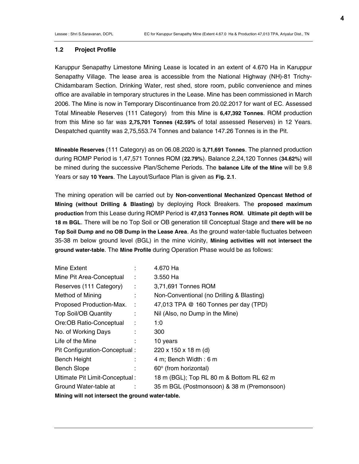#### 1.2 Project Profile

Karuppur Senapathy Limestone Mining Lease is located in an extent of 4.670 Ha in Karuppur Senapathy Village. The lease area is accessible from the National Highway (NH)-81 Trichy-Chidambaram Section. Drinking Water, rest shed, store room, public convenience and mines office are available in temporary structures in the Lease. Mine has been commissioned in March 2006. The Mine is now in Temporary Discontinuance from 20.02.2017 for want of EC. Assessed Total Mineable Reserves (111 Category) from this Mine is 6,47,392 Tonnes. ROM production from this Mine so far was 2,75,701 Tonnes (42.59% of total assessed Reserves) in 12 Years. Despatched quantity was 2,75,553.74 Tonnes and balance 147.26 Tonnes is in the Pit.

Mineable Reserves (111 Category) as on 06.08.2020 is 3,71,691 Tonnes. The planned production during ROMP Period is 1,47,571 Tonnes ROM (22.79%). Balance 2,24,120 Tonnes (34.62%) will be mined during the successive Plan/Scheme Periods. The balance Life of the Mine will be 9.8 Years or say 10 Years. The Layout/Surface Plan is given as Fig. 2.1.

The mining operation will be carried out by Non-conventional Mechanized Opencast Method of Mining (without Drilling & Blasting) by deploying Rock Breakers. The proposed maximum production from this Lease during ROMP Period is 47,013 Tonnes ROM. Ultimate pit depth will be 18 m BGL. There will be no Top Soil or OB generation till Conceptual Stage and there will be no Top Soil Dump and no OB Dump in the Lease Area. As the ground water-table fluctuates between 35-38 m below ground level (BGL) in the mine vicinity, Mining activities will not intersect the ground water-table. The Mine Profile during Operation Phase would be as follows:

| Mine Extent                                       |   | 4.670 Ha                                   |
|---------------------------------------------------|---|--------------------------------------------|
| Mine Pit Area-Conceptual                          | ÷ | 3.550 Ha                                   |
| Reserves (111 Category)                           | ÷ | 3,71,691 Tonnes ROM                        |
| Method of Mining                                  |   | Non-Conventional (no Drilling & Blasting)  |
| Proposed Production-Max.                          | ÷ | 47,013 TPA @ 160 Tonnes per day (TPD)      |
| <b>Top Soil/OB Quantity</b>                       |   | Nil (Also, no Dump in the Mine)            |
| Ore:OB Ratio-Conceptual                           | ÷ | 1:0                                        |
| No. of Working Days                               |   | 300                                        |
| Life of the Mine                                  |   | 10 years                                   |
| Pit Configuration-Conceptual:                     |   | $220 \times 150 \times 18 \text{ m}$ (d)   |
| <b>Bench Height</b>                               |   | 4 m; Bench Width: 6 m                      |
| <b>Bench Slope</b>                                |   | 60° (from horizontal)                      |
| Ultimate Pit Limit-Conceptual:                    |   | 18 m (BGL); Top RL 80 m & Bottom RL 62 m   |
| Ground Water-table at                             |   | 35 m BGL (Postmonsoon) & 38 m (Premonsoon) |
| Mining will not intersect the ground water-table. |   |                                            |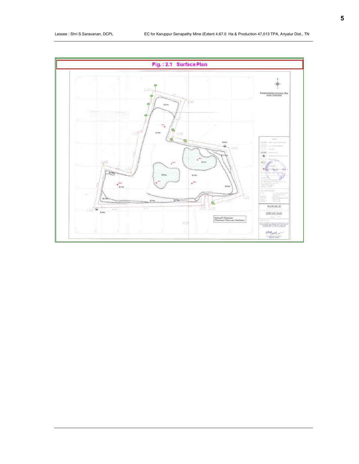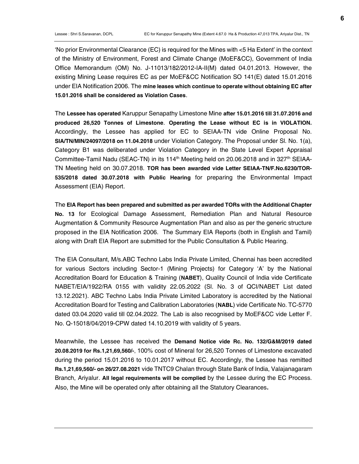'No prior Environmental Clearance (EC) is required for the Mines with <5 Ha Extent' in the context of the Ministry of Environment, Forest and Climate Change (MoEF&CC), Government of India Office Memorandum (OM) No. J-11013/182/2012-IA-II(M) dated 04.01.2013. However, the existing Mining Lease requires EC as per MoEF&CC Notification SO 141(E) dated 15.01.2016 under EIA Notification 2006. The mine leases which continue to operate without obtaining EC after 15.01.2016 shall be considered as Violation Cases.

The Lessee has operated Karuppur Senapathy Limestone Mine after 15.01.2016 till 31.07.2016 and produced 26,520 Tonnes of Limestone. Operating the Lease without EC is in VIOLATION. Accordingly, the Lessee has applied for EC to SEIAA-TN vide Online Proposal No. SIA/TN/MIN/24097/2018 on 11.04.2018 under Violation Category. The Proposal under Sl. No. 1(a), Category B1 was deliberated under Violation Category in the State Level Expert Appraisal Committee-Tamil Nadu (SEAC-TN) in its 114<sup>th</sup> Meeting held on 20.06.2018 and in 327<sup>th</sup> SEIAA-TN Meeting held on 30.07.2018. TOR has been awarded vide Letter SEIAA-TN/F.No.6230/TOR-535/2018 dated 30.07.2018 with Public Hearing for preparing the Environmental Impact Assessment (EIA) Report.

The EIA Report has been prepared and submitted as per awarded TORs with the Additional Chapter No. 13 for Ecological Damage Assessment, Remediation Plan and Natural Resource Augmentation & Community Resource Augmentation Plan and also as per the generic structure proposed in the EIA Notification 2006. The Summary EIA Reports (both in English and Tamil) along with Draft EIA Report are submitted for the Public Consultation & Public Hearing.

The EIA Consultant, M/s.ABC Techno Labs India Private Limited, Chennai has been accredited for various Sectors including Sector-1 (Mining Projects) for Category 'A' by the National Accreditation Board for Education & Training (NABET), Quality Council of India vide Certificate NABET/EIA/1922/RA 0155 with validity 22.05.2022 (Sl. No. 3 of QCI/NABET List dated 13.12.2021). ABC Techno Labs India Private Limited Laboratory is accredited by the National Accreditation Board for Testing and Calibration Laboratories (NABL) vide Certificate No. TC-5770 dated 03.04.2020 valid till 02.04.2022. The Lab is also recognised by MoEF&CC vide Letter F. No. Q-15018/04/2019-CPW dated 14.10.2019 with validity of 5 years.

Meanwhile, the Lessee has received the Demand Notice vide Rc. No. 132/G&M/2019 dated 20.08.2019 for Rs.1,21,69,560/-, 100% cost of Mineral for 26,520 Tonnes of Limestone excavated during the period 15.01.2016 to 10.01.2017 without EC. Accordingly, the Lessee has remitted Rs.1,21,69,560/- on 26/27.08.2021 vide TNTC9 Chalan through State Bank of India, Valajanagaram Branch, Ariyalur. All legal requirements will be complied by the Lessee during the EC Process. Also, the Mine will be operated only after obtaining all the Statutory Clearances.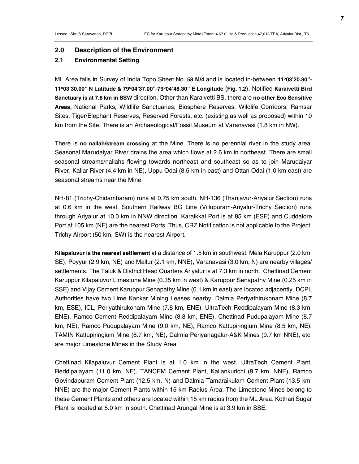#### 2.0 Description of the Environment

#### 2.1 Environmental Setting

ML Area falls in Survey of India Topo Sheet No. 58 M/4 and is located in-between 11°03'20.80"-11°03'30.00" N Latitude & 79°04'37.00"-79°04'48.30" E Longitude (Fig. 1.2). Notified Karaivetti Bird Sanctuary is at 7.8 km in SSW direction. Other than Karaivetti BS, there are no other Eco Sensitive Areas, National Parks, Wildlife Sanctuaries, Biosphere Reserves, Wildlife Corridors, Ramsar Sites, Tiger/Elephant Reserves, Reserved Forests, etc. (existing as well as proposed) within 10 km from the Site. There is an Archaeological/Fossil Museum at Varanavasi (1.8 km in NW).

There is no nallah/stream crossing at the Mine. There is no perennial river in the study area. Seasonal Marudaiyar River drains the area which flows at 2.6 km in northeast. There are small seasonal streams/nallahs flowing towards northeast and southeast so as to join Marudaiyar River. Kallar River (4.4 km in NE), Uppu Odai (8.5 km in east) and Ottan Odai (1.0 km east) are seasonal streams near the Mine.

NH-81 (Trichy-Chidambaram) runs at 0.75 km south. NH-136 (Thanjavur-Ariyalur Section) runs at 0.6 km in the west. Southern Railway BG Line (Villupuram-Ariyalur-Trichy Section) runs through Ariyalur at 10.0 km in NNW direction. Karaikkal Port is at 85 km (ESE) and Cuddalore Port at 105 km (NE) are the nearest Ports. Thus, CRZ Notification is not applicable to the Project. Trichy Airport (50 km, SW) is the nearest Airport.

Kilapaluvur is the nearest settlement at a distance of 1.5 km in southwest. Mela Karuppur (2.0 km. SE), Poyyur (2.9 km, NE) and Mallur (2.1 km, NNE), Varanavasi (3.0 km, N) are nearby villages/ settlements. The Taluk & District Head Quarters Ariyalur is at 7.3 km in north. Chettinad Cement Karuppur Kilapaluvur Limestone Mine (0.35 km in west) & Karuppur Senapathy Mine (0.25 km in SSE) and Vijay Cement Karuppur Senapathy Mine (0.1 km in east) are located adjacently. DCPL Authorities have two Lime Kankar Mining Leases nearby. Dalmia Periyathirukonam Mine (8.7 km, ESE), ICL, Periyathirukonam Mine (7.8 km, ENE), UltraTech Reddipalayam Mine (8.3 km, ENE), Ramco Cement Reddipalayam Mine (8.8 km, ENE), Chettinad Pudupalayam Mine (8.7 km, NE), Ramco Pudupalayam Mine (9.0 km, NE), Ramco Kattupiringium Mine (8.5 km, NE), TAMIN Kattupiringium Mine (8.7 km, NE), Dalmia Periyanagalur-A&K Mines (9.7 km NNE), etc. are major Limestone Mines in the Study Area.

Chettinad Kilapaluvur Cement Plant is at 1.0 km in the west. UltraTech Cement Plant, Reddipalayam (11.0 km, NE), TANCEM Cement Plant, Kallankurichi (9.7 km, NNE), Ramco Govindapuram Cement Plant (12.5 km, N) and Dalmia Tamaraikulam Cement Plant (13.5 km, NNE) are the major Cement Plants within 15 km Radius Area. The Limestone Mines belong to these Cement Plants and others are located within 15 km radius from the ML Area. Kothari Sugar Plant is located at 5.0 km in south. Chettinad Arungal Mine is at 3.9 km in SSE.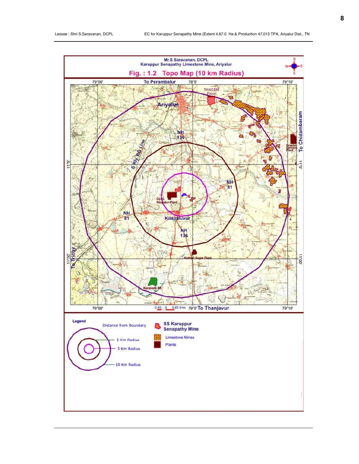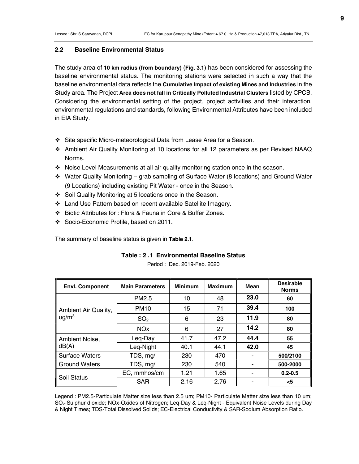#### 2.2 Baseline Environmental Status

The study area of 10 km radius (from boundary) (Fig. 3.1) has been considered for assessing the baseline environmental status. The monitoring stations were selected in such a way that the baseline environmental data reflects the Cumulative Impact of existing Mines and Industries in the Study area. The Project Area does not fall in Critically Polluted Industrial Clusters listed by CPCB. Considering the environmental setting of the project, project activities and their interaction, environmental regulations and standards, following Environmental Attributes have been included in EIA Study.

- Site specific Micro-meteorological Data from Lease Area for a Season.
- Ambient Air Quality Monitoring at 10 locations for all 12 parameters as per Revised NAAQ Norms.
- Noise Level Measurements at all air quality monitoring station once in the season.
- Water Quality Monitoring grab sampling of Surface Water (8 locations) and Ground Water (9 Locations) including existing Pit Water - once in the Season.
- Soil Quality Monitoring at 5 locations once in the Season.
- Land Use Pattern based on recent available Satellite Imagery.
- Biotic Attributes for : Flora & Fauna in Core & Buffer Zones.
- Socio-Economic Profile, based on 2011.

The summary of baseline status is given in Table 2.1.

#### Table : 2 .1 Environmental Baseline Status

Period : Dec. 2019-Feb. 2020

| <b>Envl. Component</b> | <b>Main Parameters</b> | <b>Minimum</b> | <b>Maximum</b> | Mean | <b>Desirable</b><br><b>Norms</b> |
|------------------------|------------------------|----------------|----------------|------|----------------------------------|
|                        | PM <sub>2.5</sub>      | 10             | 48             | 23.0 | 60                               |
| Ambient Air Quality,   | <b>PM10</b>            | 15             | 71             | 39.4 | 100                              |
| $\mu$ g/m <sup>3</sup> | SO <sub>2</sub>        | 6              | 23             | 11.9 | 80                               |
|                        | <b>NOx</b>             | 6              | 27             | 14.2 | 80                               |
| Ambient Noise,         | Leg-Day                | 41.7           | 47.2           | 44.4 | 55                               |
| dB(A)                  | Leg-Night              | 40.1           | 44.1           | 42.0 | 45                               |
| <b>Surface Waters</b>  | TDS, mg/l              | 230            | 470            |      | 500/2100                         |
| <b>Ground Waters</b>   | TDS, mg/l              | 230            | 540            |      | 500-2000                         |
| Soil Status            | EC, mmhos/cm           | 1.21           | 1.65           |      | $0.2 - 0.5$                      |
|                        | <b>SAR</b>             | 2.16           | 2.76           |      | <5                               |

Legend : PM2.5-Particulate Matter size less than 2.5 um; PM10- Particulate Matter size less than 10 um; SO2-Sulphur dioxide; NOx-Oxides of Nitrogen; Leq-Day & Leq-Night - Equivalent Noise Levels during Day & Night Times; TDS-Total Dissolved Solids; EC-Electrical Conductivity & SAR-Sodium Absorption Ratio.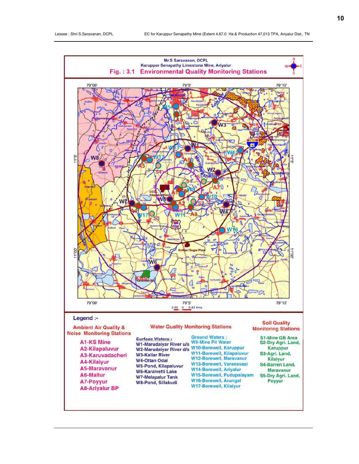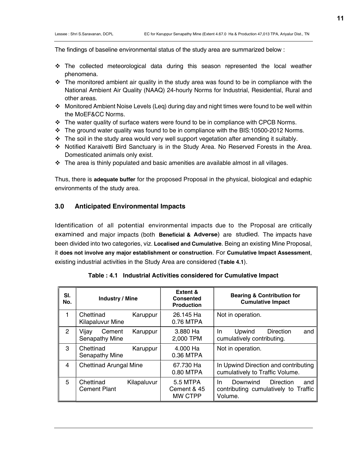The findings of baseline environmental status of the study area are summarized below :

- $\div$  The collected meteorological data during this season represented the local weather phenomena.
- $\cdot \cdot$  The monitored ambient air quality in the study area was found to be in compliance with the National Ambient Air Quality (NAAQ) 24-hourly Norms for Industrial, Residential, Rural and other areas.
- $\div$  Monitored Ambient Noise Levels (Leq) during day and night times were found to be well within the MoEF&CC Norms.
- \* The water quality of surface waters were found to be in compliance with CPCB Norms.
- $\cdot \cdot$  The ground water quality was found to be in compliance with the BIS:10500-2012 Norms.
- \* The soil in the study area would very well support vegetation after amending it suitably.
- Notified Karaivetti Bird Sanctuary is in the Study Area. No Reserved Forests in the Area. Domesticated animals only exist.
- $\div$  The area is thinly populated and basic amenities are available almost in all villages.

Thus, there is adequate buffer for the proposed Proposal in the physical, biological and edaphic environments of the study area.

### 3.0 Anticipated Environmental Impacts

Identification of all potential environmental impacts due to the Proposal are critically examined and major impacts (both Beneficial & Adverse) are studied. The impacts have been divided into two categories, viz. Localised and Cumulative. Being an existing Mine Proposal, it does not involve any major establishment or construction. For Cumulative Impact Assessment, existing industrial activities in the Study Area are considered (Table 4.1).

| SI.<br>No. | <b>Industry / Mine</b>                          | Extent &<br><b>Consented</b><br><b>Production</b> | <b>Bearing &amp; Contribution for</b><br><b>Cumulative Impact</b>                      |
|------------|-------------------------------------------------|---------------------------------------------------|----------------------------------------------------------------------------------------|
| 1          | Chettinad<br>Karuppur<br>Kilapaluvur Mine       | 26.145 Ha<br>0.76 MTPA                            | Not in operation.                                                                      |
| 2          | Karuppur<br>Vijay<br>Cement<br>Senapathy Mine   | 3.880 Ha<br>2,000 TPM                             | <b>Direction</b><br>In.<br>Upwind<br>and<br>cumulatively contributing.                 |
| 3          | Chettinad<br>Karuppur<br>Senapathy Mine         | 4.000 Ha<br>0.36 MTPA                             | Not in operation.                                                                      |
| 4          | <b>Chettinad Arungal Mine</b>                   | 67.730 Ha<br>0.80 MTPA                            | In Upwind Direction and contributing<br>cumulatively to Traffic Volume.                |
| 5          | Chettinad<br>Kilapaluvur<br><b>Cement Plant</b> | 5.5 MTPA<br>Cement & 45<br><b>MW CTPP</b>         | Downwind<br>In.<br>Direction<br>and<br>contributing cumulatively to Traffic<br>Volume. |

Table : 4.1 Industrial Activities considered for Cumulative Impact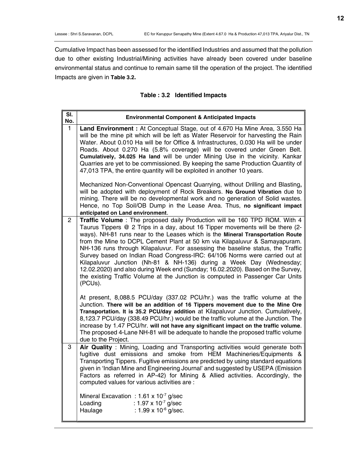**12**

Cumulative Impact has been assessed for the identified Industries and assumed that the pollution due to other existing Industrial/Mining activities have already been covered under baseline environmental status and continue to remain same till the operation of the project. The identified Impacts are given in Table 3.2.

|  | Table: 3.2 Identified Impacts |  |
|--|-------------------------------|--|
|--|-------------------------------|--|

| SI.<br>No.   | <b>Environmental Component &amp; Anticipated Impacts</b>                                                                                                                                                                                                                                                                                                                                                                                                                                                                                                                                                                                                                                                                                                    |
|--------------|-------------------------------------------------------------------------------------------------------------------------------------------------------------------------------------------------------------------------------------------------------------------------------------------------------------------------------------------------------------------------------------------------------------------------------------------------------------------------------------------------------------------------------------------------------------------------------------------------------------------------------------------------------------------------------------------------------------------------------------------------------------|
| $\mathbf{1}$ | Land Environment: At Conceptual Stage, out of 4.670 Ha Mine Area, 3.550 Ha<br>will be the mine pit which will be left as Water Reservoir for harvesting the Rain<br>Water. About 0.010 Ha will be for Office & Infrastructures, 0.030 Ha will be under<br>Roads. About 0.270 Ha (5.8% coverage) will be covered under Green Belt.<br>Cumulatively, 34.025 Ha land will be under Mining Use in the vicinity. Kankar<br>Quarries are yet to be commissioned. By keeping the same Production Quantity of<br>47,013 TPA, the entire quantity will be exploited in another 10 years.                                                                                                                                                                             |
|              | Mechanized Non-Conventional Opencast Quarrying, without Drilling and Blasting,<br>will be adopted with deployment of Rock Breakers. No Ground Vibration due to<br>mining. There will be no developmental work and no generation of Solid wastes.<br>Hence, no Top Soil/OB Dump in the Lease Area. Thus, no significant impact<br>anticipated on Land environment.                                                                                                                                                                                                                                                                                                                                                                                           |
| 2            | <b>Traffic Volume</b> : The proposed daily Production will be 160 TPD ROM. With 4<br>Taurus Tippers @ 2 Trips in a day, about 16 Tipper movements will be there (2-<br>ways). NH-81 runs near to the Leases which is the Mineral Transportation Route<br>from the Mine to DCPL Cement Plant at 50 km via Kilapaluvur & Samayapuram.<br>NH-136 runs through Kilapaluvur. For assessing the baseline status, the Traffic<br>Survey based on Indian Road Congress-IRC: 64/106 Norms were carried out at<br>Kilapaluvur Junction (Nh-81 & NH-136) during a Week Day (Wednesday;<br>12.02.2020) and also during Week end (Sunday; 16.02.2020). Based on the Survey,<br>the existing Traffic Volume at the Junction is computed in Passenger Car Units<br>(PCUs). |
|              | At present, 8,088.5 PCU/day (337.02 PCU/hr.) was the traffic volume at the<br>Junction. There will be an addition of 16 Tippers movement due to the Mine Ore<br>Transportation. It is 35.2 PCU/day addition at Kilapaluvur Junction. Cumulatively,<br>8,123.7 PCU/day (338.49 PCU/hr.) would be the traffic volume at the Junction. The<br>increase by 1.47 PCU/hr. will not have any significant impact on the traffic volume.<br>The proposed 4-Lane NH-81 will be adequate to handle the proposed traffic volume<br>due to the Project.                                                                                                                                                                                                                  |
| 3            | Air Quality: Mining, Loading and Transporting activities would generate both<br>fugitive dust emissions and smoke from HEM Machineries/Equipments &<br>Transporting Tippers. Fugitive emissions are predicted by using standard equations<br>given in 'Indian Mine and Engineering Journal' and suggested by USEPA (Emission<br>Factors as referred in AP-42) for Mining & Allied activities. Accordingly, the<br>computed values for various activities are :                                                                                                                                                                                                                                                                                              |
|              | Mineral Excavation : $1.61 \times 10^{-7}$ g/sec<br>: $1.97 \times 10^{-7}$ g/sec<br>Loading<br>Haulage<br>: $1.99 \times 10^{-6}$ g/sec.                                                                                                                                                                                                                                                                                                                                                                                                                                                                                                                                                                                                                   |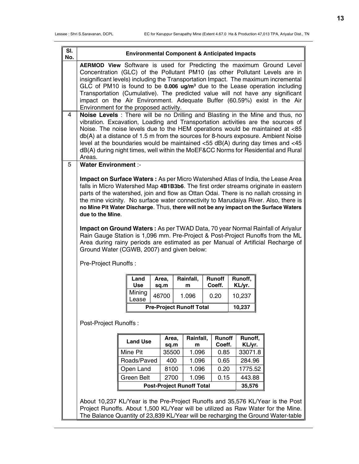| SI.<br>No. |                                                                                                                                                                                                                                                                                                                                                                                                                                                                                                                                                |                                                                                                                                                                                                                                                                                                                                                                                                                                                                                                                                                                                                                                                                                                                                                                                                             | <b>Environmental Component &amp; Anticipated Impacts</b> |  |               |                                 |  |                  |  |                   |  |  |
|------------|------------------------------------------------------------------------------------------------------------------------------------------------------------------------------------------------------------------------------------------------------------------------------------------------------------------------------------------------------------------------------------------------------------------------------------------------------------------------------------------------------------------------------------------------|-------------------------------------------------------------------------------------------------------------------------------------------------------------------------------------------------------------------------------------------------------------------------------------------------------------------------------------------------------------------------------------------------------------------------------------------------------------------------------------------------------------------------------------------------------------------------------------------------------------------------------------------------------------------------------------------------------------------------------------------------------------------------------------------------------------|----------------------------------------------------------|--|---------------|---------------------------------|--|------------------|--|-------------------|--|--|
|            | AERMOD View Software is used for Predicting the maximum Ground Level<br>Concentration (GLC) of the Pollutant PM10 (as other Pollutant Levels are in<br>insignificant levels) including the Transportation Impact. The maximum incremental<br>GLC of PM10 is found to be $0.006$ ug/m <sup>3</sup> due to the Lease operation including<br>Transportation (Cumulative). The predicted value will not have any significant<br>impact on the Air Environment. Adequate Buffer (60.59%) exist in the Air<br>Environment for the proposed activity. |                                                                                                                                                                                                                                                                                                                                                                                                                                                                                                                                                                                                                                                                                                                                                                                                             |                                                          |  |               |                                 |  |                  |  |                   |  |  |
| 4          | Noise Levels : There will be no Drilling and Blasting in the Mine and thus, no<br>vibration. Excavation, Loading and Transportation activities are the sources of<br>Noise. The noise levels due to the HEM operations would be maintained at <85<br>db(A) at a distance of 1.5 m from the sources for 8-hours exposure. Ambient Noise<br>level at the boundaries would be maintained $<$ 55 dB(A) during day times and $<$ 45<br>dB(A) during night times, well within the MoEF&CC Norms for Residential and Rural<br>Areas.                  |                                                                                                                                                                                                                                                                                                                                                                                                                                                                                                                                                                                                                                                                                                                                                                                                             |                                                          |  |               |                                 |  |                  |  |                   |  |  |
| 5          | <b>Water Environment :-</b>                                                                                                                                                                                                                                                                                                                                                                                                                                                                                                                    |                                                                                                                                                                                                                                                                                                                                                                                                                                                                                                                                                                                                                                                                                                                                                                                                             |                                                          |  |               |                                 |  |                  |  |                   |  |  |
|            |                                                                                                                                                                                                                                                                                                                                                                                                                                                                                                                                                | <b>Impact on Surface Waters: As per Micro Watershed Atlas of India, the Lease Area</b><br>falls in Micro Watershed Map 4B1B3b6. The first order streams originate in eastern<br>parts of the watershed, join and flow as Ottan Odai. There is no nallah crossing in<br>the mine vicinity. No surface water connectivity to Marudaiya River. Also, there is<br>no Mine Pit Water Discharge. Thus, there will not be any impact on the Surface Waters<br>due to the Mine.<br><b>Impact on Ground Waters:</b> As per TWAD Data, 70 year Normal Rainfall of Ariyalur<br>Rain Gauge Station is 1,096 mm. Pre-Project & Post-Project Runoffs from the ML<br>Area during rainy periods are estimated as per Manual of Artificial Recharge of<br>Ground Water (CGWB, 2007) and given below:<br>Pre-Project Runoffs: |                                                          |  |               |                                 |  |                  |  |                   |  |  |
|            |                                                                                                                                                                                                                                                                                                                                                                                                                                                                                                                                                |                                                                                                                                                                                                                                                                                                                                                                                                                                                                                                                                                                                                                                                                                                                                                                                                             | Land<br><b>Use</b>                                       |  | Area,         | Rainfall,                       |  | Runoff<br>Coeff. |  | Runoff,           |  |  |
|            |                                                                                                                                                                                                                                                                                                                                                                                                                                                                                                                                                |                                                                                                                                                                                                                                                                                                                                                                                                                                                                                                                                                                                                                                                                                                                                                                                                             | Mining                                                   |  | sq.m<br>46700 | m<br>1.096                      |  | 0.20             |  | KL/yr.<br>10,237  |  |  |
|            |                                                                                                                                                                                                                                                                                                                                                                                                                                                                                                                                                |                                                                                                                                                                                                                                                                                                                                                                                                                                                                                                                                                                                                                                                                                                                                                                                                             | Lease                                                    |  |               |                                 |  |                  |  |                   |  |  |
|            |                                                                                                                                                                                                                                                                                                                                                                                                                                                                                                                                                |                                                                                                                                                                                                                                                                                                                                                                                                                                                                                                                                                                                                                                                                                                                                                                                                             |                                                          |  |               | <b>Pre-Project Runoff Total</b> |  |                  |  | 10,237            |  |  |
|            | Post-Project Runoffs:                                                                                                                                                                                                                                                                                                                                                                                                                                                                                                                          |                                                                                                                                                                                                                                                                                                                                                                                                                                                                                                                                                                                                                                                                                                                                                                                                             |                                                          |  |               |                                 |  |                  |  |                   |  |  |
|            |                                                                                                                                                                                                                                                                                                                                                                                                                                                                                                                                                |                                                                                                                                                                                                                                                                                                                                                                                                                                                                                                                                                                                                                                                                                                                                                                                                             | <b>Land Use</b>                                          |  | Area,         | Rainfall,                       |  | Runoff           |  | Runoff,           |  |  |
|            |                                                                                                                                                                                                                                                                                                                                                                                                                                                                                                                                                | Mine Pit                                                                                                                                                                                                                                                                                                                                                                                                                                                                                                                                                                                                                                                                                                                                                                                                    |                                                          |  | sq.m<br>35500 | m<br>1.096                      |  | Coeff.<br>0.85   |  | KL/yr.<br>33071.8 |  |  |
|            |                                                                                                                                                                                                                                                                                                                                                                                                                                                                                                                                                | Roads/Paved                                                                                                                                                                                                                                                                                                                                                                                                                                                                                                                                                                                                                                                                                                                                                                                                 |                                                          |  | 400           | 1.096                           |  | 0.65             |  | 284.96            |  |  |
|            |                                                                                                                                                                                                                                                                                                                                                                                                                                                                                                                                                | Open Land                                                                                                                                                                                                                                                                                                                                                                                                                                                                                                                                                                                                                                                                                                                                                                                                   |                                                          |  | 8100          | 1.096                           |  | 0.20             |  | 1775.52           |  |  |
|            |                                                                                                                                                                                                                                                                                                                                                                                                                                                                                                                                                |                                                                                                                                                                                                                                                                                                                                                                                                                                                                                                                                                                                                                                                                                                                                                                                                             | Green Belt                                               |  | 2700          | 1.096                           |  | 0.15             |  | 443.88            |  |  |
|            |                                                                                                                                                                                                                                                                                                                                                                                                                                                                                                                                                | <b>Post-Project Runoff Total</b><br>35,576                                                                                                                                                                                                                                                                                                                                                                                                                                                                                                                                                                                                                                                                                                                                                                  |                                                          |  |               |                                 |  |                  |  |                   |  |  |
|            | About 10,237 KL/Year is the Pre-Project Runoffs and 35,576 KL/Year is the Post<br>Project Runoffs. About 1,500 KL/Year will be utilized as Raw Water for the Mine.<br>The Balance Quantity of 23,839 KL/Year will be recharging the Ground Water-table                                                                                                                                                                                                                                                                                         |                                                                                                                                                                                                                                                                                                                                                                                                                                                                                                                                                                                                                                                                                                                                                                                                             |                                                          |  |               |                                 |  |                  |  |                   |  |  |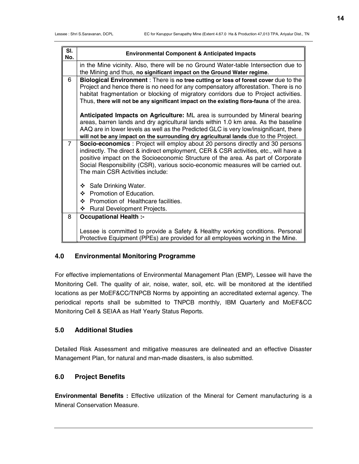| SI.<br>No. | <b>Environmental Component &amp; Anticipated Impacts</b>                                                                                                                                                                                                                                                                                                                             |
|------------|--------------------------------------------------------------------------------------------------------------------------------------------------------------------------------------------------------------------------------------------------------------------------------------------------------------------------------------------------------------------------------------|
|            | in the Mine vicinity. Also, there will be no Ground Water-table Intersection due to<br>the Mining and thus, no significant impact on the Ground Water regime.                                                                                                                                                                                                                        |
| 6          | Biological Environment: There is no tree cutting or loss of forest cover due to the<br>Project and hence there is no need for any compensatory afforestation. There is no<br>habitat fragmentation or blocking of migratory corridors due to Project activities.<br>Thus, there will not be any significant impact on the existing flora-fauna of the area.                          |
|            | Anticipated Impacts on Agriculture: ML area is surrounded by Mineral bearing<br>areas, barren lands and dry agricultural lands within 1.0 km area. As the baseline<br>AAQ are in lower levels as well as the Predicted GLC is very low/insignificant, there<br>will not be any impact on the surrounding dry agricultural lands due to the Project.                                  |
| 7          | Socio-economics : Project will employ about 20 persons directly and 30 persons<br>indirectly. The direct & indirect employment, CER & CSR activities, etc., will have a<br>positive impact on the Socioeconomic Structure of the area. As part of Corporate<br>Social Responsibility (CSR), various socio-economic measures will be carried out.<br>The main CSR Activities include: |
|            | Safe Drinking Water.<br>❖                                                                                                                                                                                                                                                                                                                                                            |
|            | Promotion of Education.<br>❖                                                                                                                                                                                                                                                                                                                                                         |
|            | Promotion of Healthcare facilities.<br>❖<br>❖                                                                                                                                                                                                                                                                                                                                        |
| 8          | Rural Development Projects.<br><b>Occupational Health :-</b>                                                                                                                                                                                                                                                                                                                         |
|            |                                                                                                                                                                                                                                                                                                                                                                                      |
|            | Lessee is committed to provide a Safety & Healthy working conditions. Personal<br>Protective Equipment (PPEs) are provided for all employees working in the Mine.                                                                                                                                                                                                                    |

## 4.0 Environmental Monitoring Programme

For effective implementations of Environmental Management Plan (EMP), Lessee will have the Monitoring Cell. The quality of air, noise, water, soil, etc. will be monitored at the identified locations as per MoEF&CC/TNPCB Norms by appointing an accreditated external agency. The periodical reports shall be submitted to TNPCB monthly, IBM Quarterly and MoEF&CC Monitoring Cell & SEIAA as Half Yearly Status Reports.

### 5.0 Additional Studies

Detailed Risk Assessment and mitigative measures are delineated and an effective Disaster Management Plan, for natural and man-made disasters, is also submitted.

## 6.0 Project Benefits

Environmental Benefits : Effective utilization of the Mineral for Cement manufacturing is a Mineral Conservation Measure.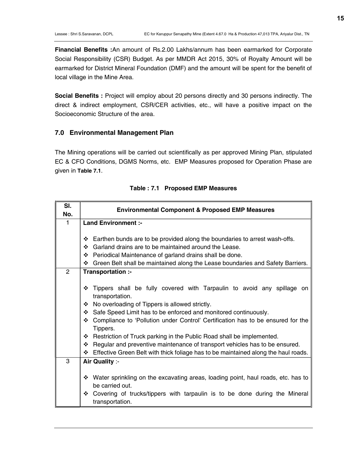Financial Benefits :An amount of Rs.2.00 Lakhs/annum has been earmarked for Corporate Social Responsibility (CSR) Budget. As per MMDR Act 2015, 30% of Royalty Amount will be earmarked for District Mineral Foundation (DMF) and the amount will be spent for the benefit of local village in the Mine Area.

Social Benefits : Project will employ about 20 persons directly and 30 persons indirectly. The direct & indirect employment, CSR/CER activities, etc., will have a positive impact on the Socioeconomic Structure of the area.

#### 7.0 Environmental Management Plan

The Mining operations will be carried out scientifically as per approved Mining Plan, stipulated EC & CFO Conditions, DGMS Norms, etc. EMP Measures proposed for Operation Phase are given in Table 7.1.

| SI.<br>No.   | <b>Environmental Component &amp; Proposed EMP Measures</b>                                                                                                                                                                                                                                                                                                                                                                                                                                                                                                                         |  |  |  |  |  |
|--------------|------------------------------------------------------------------------------------------------------------------------------------------------------------------------------------------------------------------------------------------------------------------------------------------------------------------------------------------------------------------------------------------------------------------------------------------------------------------------------------------------------------------------------------------------------------------------------------|--|--|--|--|--|
| 1            | <b>Land Environment:-</b>                                                                                                                                                                                                                                                                                                                                                                                                                                                                                                                                                          |  |  |  |  |  |
|              |                                                                                                                                                                                                                                                                                                                                                                                                                                                                                                                                                                                    |  |  |  |  |  |
|              | Earthen bunds are to be provided along the boundaries to arrest wash-offs.<br>❖                                                                                                                                                                                                                                                                                                                                                                                                                                                                                                    |  |  |  |  |  |
|              | ❖ Garland drains are to be maintained around the Lease.                                                                                                                                                                                                                                                                                                                                                                                                                                                                                                                            |  |  |  |  |  |
|              | ❖ Periodical Maintenance of garland drains shall be done.                                                                                                                                                                                                                                                                                                                                                                                                                                                                                                                          |  |  |  |  |  |
|              | ❖ Green Belt shall be maintained along the Lease boundaries and Safety Barriers.                                                                                                                                                                                                                                                                                                                                                                                                                                                                                                   |  |  |  |  |  |
| $\mathbf{2}$ | Transportation :-                                                                                                                                                                                                                                                                                                                                                                                                                                                                                                                                                                  |  |  |  |  |  |
|              | Tippers shall be fully covered with Tarpaulin to avoid any spillage on<br>❖<br>transportation.<br>❖ No overloading of Tippers is allowed strictly.<br>Safe Speed Limit has to be enforced and monitored continuously.<br>❖<br>❖ Compliance to 'Pollution under Control' Certification has to be ensured for the<br>Tippers.<br>❖ Restriction of Truck parking in the Public Road shall be implemented.<br>❖ Regular and preventive maintenance of transport vehicles has to be ensured.<br>Effective Green Belt with thick foliage has to be maintained along the haul roads.<br>※ |  |  |  |  |  |
| 3            | Air Quality :-                                                                                                                                                                                                                                                                                                                                                                                                                                                                                                                                                                     |  |  |  |  |  |
|              |                                                                                                                                                                                                                                                                                                                                                                                                                                                                                                                                                                                    |  |  |  |  |  |
|              | ❖ Water sprinkling on the excavating areas, loading point, haul roads, etc. has to                                                                                                                                                                                                                                                                                                                                                                                                                                                                                                 |  |  |  |  |  |
|              | be carried out.                                                                                                                                                                                                                                                                                                                                                                                                                                                                                                                                                                    |  |  |  |  |  |
|              | ❖ Covering of trucks/tippers with tarpaulin is to be done during the Mineral                                                                                                                                                                                                                                                                                                                                                                                                                                                                                                       |  |  |  |  |  |
|              | transportation.                                                                                                                                                                                                                                                                                                                                                                                                                                                                                                                                                                    |  |  |  |  |  |

|  | Table: 7.1 Proposed EMP Measures |
|--|----------------------------------|
|--|----------------------------------|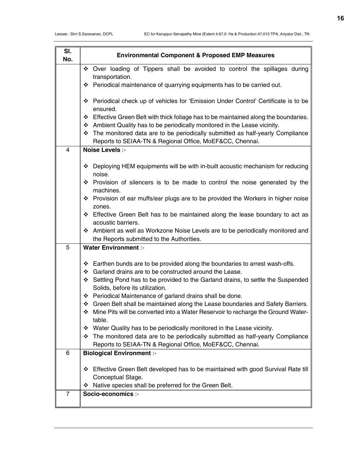| SI.<br>No. | <b>Environmental Component &amp; Proposed EMP Measures</b>                                                                                     |
|------------|------------------------------------------------------------------------------------------------------------------------------------------------|
|            | * Over loading of Tippers shall be avoided to control the spillages during<br>transportation.                                                  |
|            | Periodical maintenance of quarrying equipments has to be carried out.<br>❖                                                                     |
|            | ❖ Periodical check up of vehicles for 'Emission Under Control' Certificate is to be<br>ensured.                                                |
|            | ❖ Effective Green Belt with thick foliage has to be maintained along the boundaries.                                                           |
|            | * Ambient Quality has to be periodically monitored in the Lease vicinity.                                                                      |
|            | The monitored data are to be periodically submitted as half-yearly Compliance<br>❖                                                             |
|            | Reports to SEIAA-TN & Regional Office, MoEF&CC, Chennai.                                                                                       |
| 4          | Noise Levels :-                                                                                                                                |
|            | ❖ Deploying HEM equipments will be with in-built acoustic mechanism for reducing<br>noise.                                                     |
|            | ❖ Provision of silencers is to be made to control the noise generated by the<br>machines.                                                      |
|            | ❖ Provision of ear muffs/ear plugs are to be provided the Workers in higher noise<br>zones.                                                    |
|            | ❖ Effective Green Belt has to be maintained along the lease boundary to act as<br>acoustic barriers.                                           |
|            | * Ambient as well as Workzone Noise Levels are to be periodically monitored and<br>the Reports submitted to the Authorities.                   |
| 5          | <b>Water Environment :-</b>                                                                                                                    |
|            | $\div$ Earthen bunds are to be provided along the boundaries to arrest wash-offs.                                                              |
|            | ❖ Garland drains are to be constructed around the Lease.                                                                                       |
|            | Settling Pond has to be provided to the Garland drains, to settle the Suspended<br>❖<br>Solids, before its utilization.                        |
|            | ❖ Periodical Maintenance of garland drains shall be done.                                                                                      |
|            | Green Belt shall be maintained along the Lease boundaries and Safety Barriers.<br>❖                                                            |
|            | Mine Pits will be converted into a Water Reservoir to recharge the Ground Water-<br>❖<br>table.                                                |
|            | * Water Quality has to be periodically monitored in the Lease vicinity.                                                                        |
|            | The monitored data are to be periodically submitted as half-yearly Compliance<br>❖<br>Reports to SEIAA-TN & Regional Office, MoEF&CC, Chennai. |
| 6          | <b>Biological Environment :-</b>                                                                                                               |
|            | Effective Green Belt developed has to be maintained with good Survival Rate till<br>❖<br>Conceptual Stage.                                     |
|            | Native species shall be preferred for the Green Belt.<br>❖                                                                                     |
| 7          | Socio-economics :-                                                                                                                             |